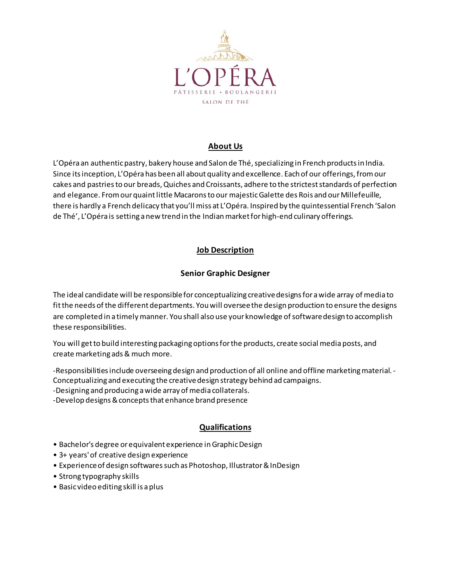

# **About Us**

L'Opéra an authentic pastry, bakery house and Salon de Thé, specializing in French products in India. Since its inception, L'Opéra has been all about quality and excellence. Each of our offerings, from our cakes and pastries to our breads, Quiches and Croissants, adhere to the strictest standards of perfection and elegance. From our quaint little Macarons to our majestic Galette des Rois and our Millefeuille, there is hardly a French delicacy that you'll miss at L'Opéra. Inspired by the quintessential French 'Salon de Thé', L'Opéra is setting a new trend in the Indian market for high-end culinary offerings.

### **Job Description**

# **Senior Graphic Designer**

The ideal candidate will be responsible for conceptualizing creative designs for a wide array of media to fit the needs of the different departments. You will oversee the design production to ensure the designs are completed in a timely manner. You shall also use your knowledge of software design to accomplish these responsibilities.

You will get to build interesting packaging options for the products, create social mediaposts, and create marketing ads & much more.

-Responsibilities include overseeing design and production of all online and offline marketing material. - Conceptualizing and executing the creative design strategy behind ad campaigns.

-Designing and producing a wide array of media collaterals.

-Develop designs & concepts that enhance brand presence

# **Qualifications**

- Bachelor's degree or equivalent experience in Graphic Design
- 3+ years' of creative design experience
- Experience of design softwares such as Photoshop, Illustrator & InDesign
- Strong typography skills
- Basic video editing skill is a plus